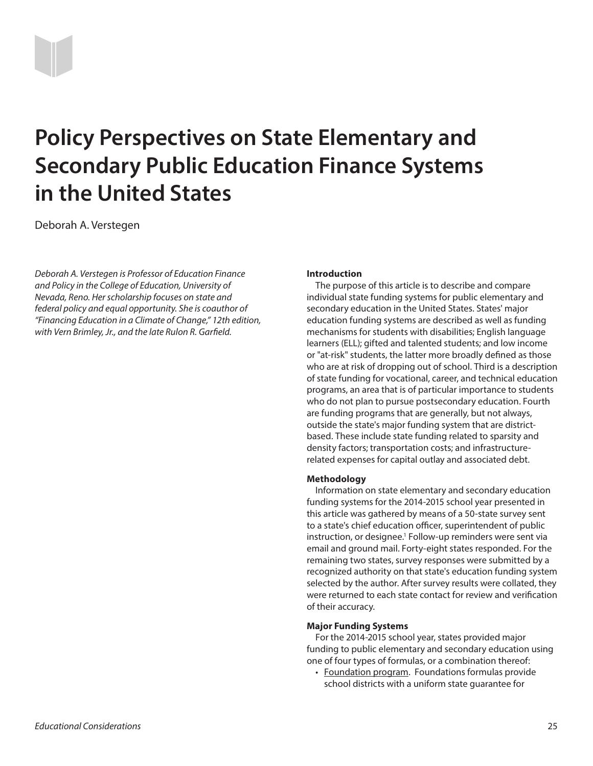# **Policy Perspectives on State Elementary and Secondary Public Education Finance Systems in the United States**

Deborah A. Verstegen

*Deborah A. Verstegen is Professor of Education Finance and Policy in the College of Education, University of Nevada, Reno. Her scholarship focuses on state and federal policy and equal opportunity. She is coauthor of "Financing Education in a Climate of Change," 12th edition, with Vern Brimley, Jr., and the late Rulon R. Garfield.*

#### **Introduction**

The purpose of this article is to describe and compare individual state funding systems for public elementary and secondary education in the United States. States' major education funding systems are described as well as funding mechanisms for students with disabilities; English language learners (ELL); gifted and talented students; and low income or "at-risk" students, the latter more broadly defined as those who are at risk of dropping out of school. Third is a description of state funding for vocational, career, and technical education programs, an area that is of particular importance to students who do not plan to pursue postsecondary education. Fourth are funding programs that are generally, but not always, outside the state's major funding system that are districtbased. These include state funding related to sparsity and density factors; transportation costs; and infrastructurerelated expenses for capital outlay and associated debt.

#### **Methodology**

Information on state elementary and secondary education funding systems for the 2014-2015 school year presented in this article was gathered by means of a 50-state survey sent to a state's chief education officer, superintendent of public instruction, or designee.<sup>1</sup> Follow-up reminders were sent via email and ground mail. Forty-eight states responded. For the remaining two states, survey responses were submitted by a recognized authority on that state's education funding system selected by the author. After survey results were collated, they were returned to each state contact for review and verification of their accuracy.

#### **Major Funding Systems**

For the 2014-2015 school year, states provided major funding to public elementary and secondary education using one of four types of formulas, or a combination thereof:

• Foundation program. Foundations formulas provide school districts with a uniform state guarantee for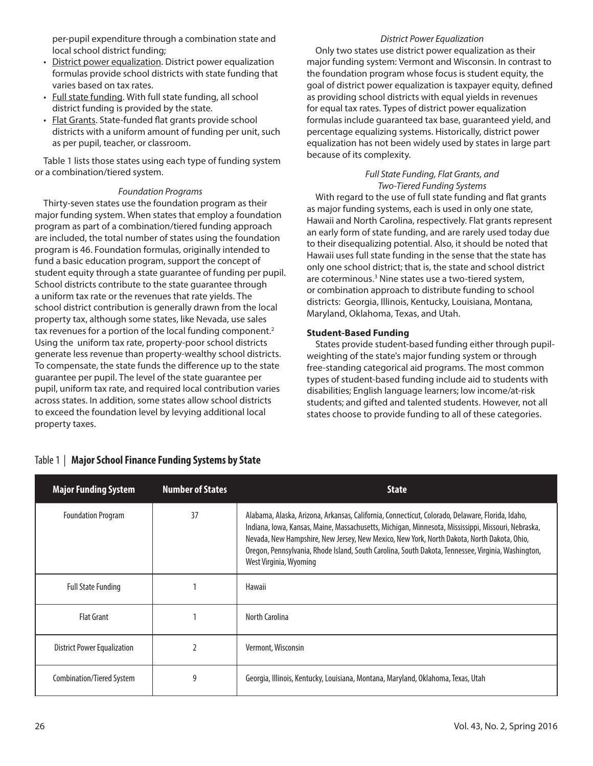per-pupil expenditure through a combination state and local school district funding;

- District power equalization. District power equalization formulas provide school districts with state funding that varies based on tax rates.
- Full state funding. With full state funding, all school district funding is provided by the state.
- Flat Grants. State-funded flat grants provide school districts with a uniform amount of funding per unit, such as per pupil, teacher, or classroom.

Table 1 lists those states using each type of funding system or a combination/tiered system.

## *Foundation Programs*

Thirty-seven states use the foundation program as their major funding system. When states that employ a foundation program as part of a combination/tiered funding approach are included, the total number of states using the foundation program is 46. Foundation formulas, originally intended to fund a basic education program, support the concept of student equity through a state guarantee of funding per pupil. School districts contribute to the state guarantee through a uniform tax rate or the revenues that rate yields. The school district contribution is generally drawn from the local property tax, although some states, like Nevada, use sales tax revenues for a portion of the local funding component.<sup>2</sup> Using the uniform tax rate, property-poor school districts generate less revenue than property-wealthy school districts. To compensate, the state funds the difference up to the state guarantee per pupil. The level of the state guarantee per pupil, uniform tax rate, and required local contribution varies across states. In addition, some states allow school districts to exceed the foundation level by levying additional local property taxes.

# Table 1 | **Major School Finance Funding Systems by State**

## *District Power Equalization*

Only two states use district power equalization as their major funding system: Vermont and Wisconsin. In contrast to the foundation program whose focus is student equity, the goal of district power equalization is taxpayer equity, defined as providing school districts with equal yields in revenues for equal tax rates. Types of district power equalization formulas include guaranteed tax base, guaranteed yield, and percentage equalizing systems. Historically, district power equalization has not been widely used by states in large part because of its complexity.

## *Full State Funding, Flat Grants, and Two-Tiered Funding Systems*

With regard to the use of full state funding and flat grants as major funding systems, each is used in only one state, Hawaii and North Carolina, respectively. Flat grants represent an early form of state funding, and are rarely used today due to their disequalizing potential. Also, it should be noted that Hawaii uses full state funding in the sense that the state has only one school district; that is, the state and school district are coterminous.<sup>3</sup> Nine states use a two-tiered system, or combination approach to distribute funding to school districts: Georgia, Illinois, Kentucky, Louisiana, Montana, Maryland, Oklahoma, Texas, and Utah.

## **Student-Based Funding**

States provide student-based funding either through pupilweighting of the state's major funding system or through free-standing categorical aid programs. The most common types of student-based funding include aid to students with disabilities; English language learners; low income/at-risk students; and gifted and talented students. However, not all states choose to provide funding to all of these categories.

| <b>Major Funding System</b>        | <b>Number of States</b> | <b>State</b>                                                                                                                                                                                                                                                                                                                                                                                                                         |
|------------------------------------|-------------------------|--------------------------------------------------------------------------------------------------------------------------------------------------------------------------------------------------------------------------------------------------------------------------------------------------------------------------------------------------------------------------------------------------------------------------------------|
| <b>Foundation Program</b>          | 37                      | Alabama, Alaska, Arizona, Arkansas, California, Connecticut, Colorado, Delaware, Florida, Idaho,<br>Indiana, Iowa, Kansas, Maine, Massachusetts, Michigan, Minnesota, Mississippi, Missouri, Nebraska,<br>Nevada, New Hampshire, New Jersey, New Mexico, New York, North Dakota, North Dakota, Ohio,<br>Oregon, Pennsylvania, Rhode Island, South Carolina, South Dakota, Tennessee, Virginia, Washington,<br>West Virginia, Wyoming |
| <b>Full State Funding</b>          |                         | Hawaii                                                                                                                                                                                                                                                                                                                                                                                                                               |
| Flat Grant                         |                         | North Carolina                                                                                                                                                                                                                                                                                                                                                                                                                       |
| <b>District Power Equalization</b> |                         | Vermont, Wisconsin                                                                                                                                                                                                                                                                                                                                                                                                                   |
| Combination/Tiered System          | 9                       | Georgia, Illinois, Kentucky, Louisiana, Montana, Maryland, Oklahoma, Texas, Utah                                                                                                                                                                                                                                                                                                                                                     |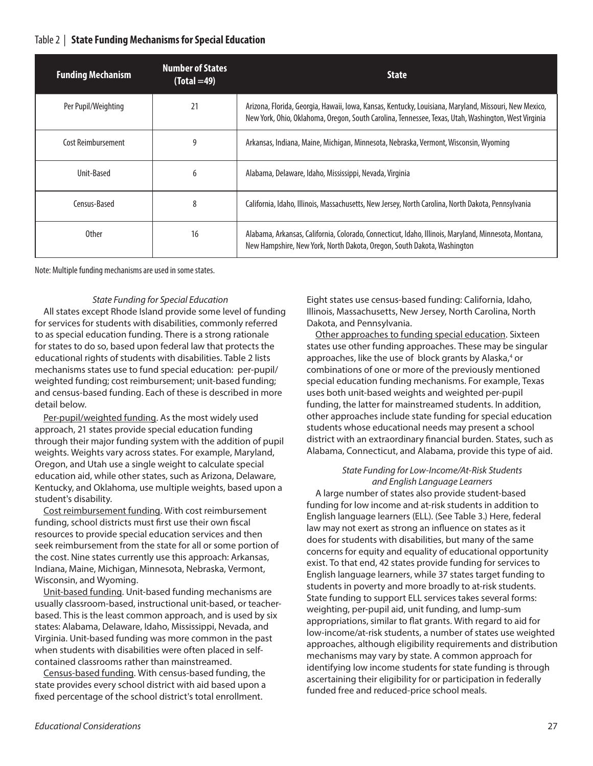## Table 2 | **State Funding Mechanisms for Special Education**

| <b>Funding Mechanism</b> | <b>Number of States</b><br>$(Total = 49)$ | <b>State</b>                                                                                                                                                                                                 |
|--------------------------|-------------------------------------------|--------------------------------------------------------------------------------------------------------------------------------------------------------------------------------------------------------------|
| Per Pupil/Weighting      | 21                                        | Arizona, Florida, Georgia, Hawaii, Iowa, Kansas, Kentucky, Louisiana, Maryland, Missouri, New Mexico,<br>New York, Ohio, Oklahoma, Oregon, South Carolina, Tennessee, Texas, Utah, Washington, West Virginia |
| Cost Reimbursement       | 9                                         | Arkansas, Indiana, Maine, Michigan, Minnesota, Nebraska, Vermont, Wisconsin, Wyoming                                                                                                                         |
| Unit-Based               | 6                                         | Alabama, Delaware, Idaho, Mississippi, Nevada, Virginia                                                                                                                                                      |
| Census-Based             | 8                                         | California, Idaho, Illinois, Massachusetts, New Jersey, North Carolina, North Dakota, Pennsylvania                                                                                                           |
| <b>Other</b>             | 16                                        | Alabama, Arkansas, California, Colorado, Connecticut, Idaho, Illinois, Maryland, Minnesota, Montana,<br>New Hampshire, New York, North Dakota, Oregon, South Dakota, Washington                              |

Note: Multiple funding mechanisms are used in some states.

### *State Funding for Special Education*

All states except Rhode Island provide some level of funding for services for students with disabilities, commonly referred to as special education funding. There is a strong rationale for states to do so, based upon federal law that protects the educational rights of students with disabilities. Table 2 lists mechanisms states use to fund special education: per-pupil/ weighted funding; cost reimbursement; unit-based funding; and census-based funding. Each of these is described in more detail below.

Per-pupil/weighted funding. As the most widely used approach, 21 states provide special education funding through their major funding system with the addition of pupil weights. Weights vary across states. For example, Maryland, Oregon, and Utah use a single weight to calculate special education aid, while other states, such as Arizona, Delaware, Kentucky, and Oklahoma, use multiple weights, based upon a student's disability.

Cost reimbursement funding. With cost reimbursement funding, school districts must first use their own fiscal resources to provide special education services and then seek reimbursement from the state for all or some portion of the cost. Nine states currently use this approach: Arkansas, Indiana, Maine, Michigan, Minnesota, Nebraska, Vermont, Wisconsin, and Wyoming.

Unit-based funding. Unit-based funding mechanisms are usually classroom-based, instructional unit-based, or teacherbased. This is the least common approach, and is used by six states: Alabama, Delaware, Idaho, Mississippi, Nevada, and Virginia. Unit-based funding was more common in the past when students with disabilities were often placed in selfcontained classrooms rather than mainstreamed.

Census-based funding. With census-based funding, the state provides every school district with aid based upon a fixed percentage of the school district's total enrollment.

Eight states use census-based funding: California, Idaho, Illinois, Massachusetts, New Jersey, North Carolina, North Dakota, and Pennsylvania.

Other approaches to funding special education. Sixteen states use other funding approaches. These may be singular approaches, like the use of block grants by Alaska,<sup>4</sup> or combinations of one or more of the previously mentioned special education funding mechanisms. For example, Texas uses both unit-based weights and weighted per-pupil funding, the latter for mainstreamed students. In addition, other approaches include state funding for special education students whose educational needs may present a school district with an extraordinary financial burden. States, such as Alabama, Connecticut, and Alabama, provide this type of aid.

### *State Funding for Low-Income/At-Risk Students and English Language Learners*

A large number of states also provide student-based funding for low income and at-risk students in addition to English language learners (ELL). (See Table 3.) Here, federal law may not exert as strong an influence on states as it does for students with disabilities, but many of the same concerns for equity and equality of educational opportunity exist. To that end, 42 states provide funding for services to English language learners, while 37 states target funding to students in poverty and more broadly to at-risk students. State funding to support ELL services takes several forms: weighting, per-pupil aid, unit funding, and lump-sum appropriations, similar to flat grants. With regard to aid for low-income/at-risk students, a number of states use weighted approaches, although eligibility requirements and distribution mechanisms may vary by state. A common approach for identifying low income students for state funding is through ascertaining their eligibility for or participation in federally funded free and reduced-price school meals.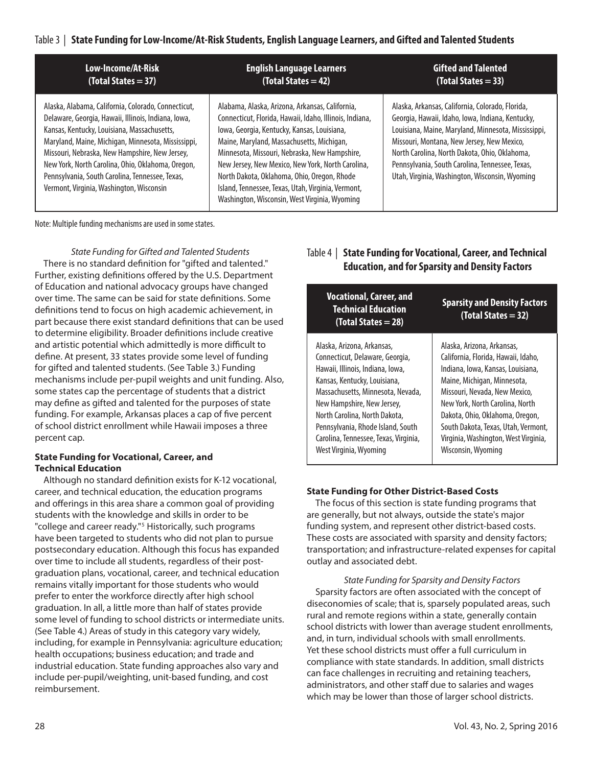## Table 3 | **State Funding for Low-Income/At-Risk Students, English Language Learners, and Gifted and Talented Students**

| Low-Income/At-Risk                                                                                   | <b>English Language Learners</b>                                                                   | <b>Gifted and Talented</b>                                                                  |
|------------------------------------------------------------------------------------------------------|----------------------------------------------------------------------------------------------------|---------------------------------------------------------------------------------------------|
| $(Total States = 37)$                                                                                | $(Total States = 42)$                                                                              | $(Total States = 33)$                                                                       |
| Alaska, Alabama, California, Colorado, Connecticut,                                                  | Alabama, Alaska, Arizona, Arkansas, California,                                                    | Alaska, Arkansas, California, Colorado, Florida,                                            |
| Delaware, Georgia, Hawaii, Illinois, Indiana, Iowa,                                                  | Connecticut, Florida, Hawaii, Idaho, Illinois, Indiana,                                            | Georgia, Hawaii, Idaho, Iowa, Indiana, Kentucky,                                            |
| Kansas, Kentucky, Louisiana, Massachusetts,                                                          | lowa, Georgia, Kentucky, Kansas, Louisiana,                                                        | Louisiana, Maine, Maryland, Minnesota, Mississippi,                                         |
| Maryland, Maine, Michigan, Minnesota, Mississippi,<br>Missouri, Nebraska, New Hampshire, New Jersey, | Maine, Maryland, Massachusetts, Michigan,                                                          | Missouri, Montana, New Jersey, New Mexico,<br>North Carolina, North Dakota, Ohio, Oklahoma, |
| New York, North Carolina, Ohio, Oklahoma, Oregon,                                                    | Minnesota, Missouri, Nebraska, New Hampshire,<br>New Jersey, New Mexico, New York, North Carolina, |                                                                                             |

North Dakota, Oklahoma, Ohio, Oregon, Rhode Island, Tennessee, Texas, Utah, Virginia, Vermont, Washington, Wisconsin, West Virginia, Wyoming

Note: Multiple funding mechanisms are used in some states.

Pennsylvania, South Carolina, Tennessee, Texas, Vermont, Virginia, Washington, Wisconsin

*State Funding for Gifted and Talented Students* There is no standard definition for "gifted and talented." Further, existing definitions offered by the U.S. Department of Education and national advocacy groups have changed over time. The same can be said for state definitions. Some definitions tend to focus on high academic achievement, in part because there exist standard definitions that can be used to determine eligibility. Broader definitions include creative and artistic potential which admittedly is more difficult to define. At present, 33 states provide some level of funding for gifted and talented students. (See Table 3.) Funding mechanisms include per-pupil weights and unit funding. Also, some states cap the percentage of students that a district may define as gifted and talented for the purposes of state funding. For example, Arkansas places a cap of five percent of school district enrollment while Hawaii imposes a three percent cap.

### **State Funding for Vocational, Career, and Technical Education**

Although no standard definition exists for K-12 vocational, career, and technical education, the education programs and offerings in this area share a common goal of providing students with the knowledge and skills in order to be "college and career ready."<sup>5</sup> Historically, such programs have been targeted to students who did not plan to pursue postsecondary education. Although this focus has expanded over time to include all students, regardless of their postgraduation plans, vocational, career, and technical education remains vitally important for those students who would prefer to enter the workforce directly after high school graduation. In all, a little more than half of states provide some level of funding to school districts or intermediate units. (See Table 4.) Areas of study in this category vary widely, including, for example in Pennsylvania: agriculture education; health occupations; business education; and trade and industrial education. State funding approaches also vary and include per-pupil/weighting, unit-based funding, and cost reimbursement.

| <b>Vocational, Career, and</b><br>Technical Education<br>(Total States = 28) | <b>Sparsity and Density Factors</b><br>(Total States = 32) |
|------------------------------------------------------------------------------|------------------------------------------------------------|
| Alaska, Arizona, Arkansas,                                                   | Alaska, Arizona, Arkansas,                                 |
| Connecticut, Delaware, Georgia,                                              | California, Florida, Hawaii, Idaho,                        |
| Hawaii, Illinois, Indiana, Iowa,                                             | Indiana, Iowa, Kansas, Louisiana,                          |
| Kansas, Kentucky, Louisiana,                                                 | Maine, Michigan, Minnesota,                                |
| Massachusetts, Minnesota, Nevada,                                            | Missouri, Nevada, New Mexico,                              |
| New Hampshire, New Jersey,                                                   | New York, North Carolina, North                            |
| North Carolina, North Dakota,                                                | Dakota, Ohio, Oklahoma, Oregon,                            |
| Pennsylvania, Rhode Island, South                                            | South Dakota, Texas, Utah, Vermont,                        |
| Carolina, Tennessee, Texas, Virginia,                                        | Virginia, Washington, West Virginia,                       |
| West Virginia, Wyoming                                                       | Wisconsin, Wyoming                                         |

Table 4 | **State Funding for Vocational, Career, and Technical Education, and for Sparsity and Density Factors**

Utah, Virginia, Washington, Wisconsin, Wyoming

### **State Funding for Other District-Based Costs**

The focus of this section is state funding programs that are generally, but not always, outside the state's major funding system, and represent other district-based costs. These costs are associated with sparsity and density factors; transportation; and infrastructure-related expenses for capital outlay and associated debt.

*State Funding for Sparsity and Density Factors* Sparsity factors are often associated with the concept of diseconomies of scale; that is, sparsely populated areas, such rural and remote regions within a state, generally contain school districts with lower than average student enrollments, and, in turn, individual schools with small enrollments. Yet these school districts must offer a full curriculum in compliance with state standards. In addition, small districts can face challenges in recruiting and retaining teachers, administrators, and other staff due to salaries and wages which may be lower than those of larger school districts.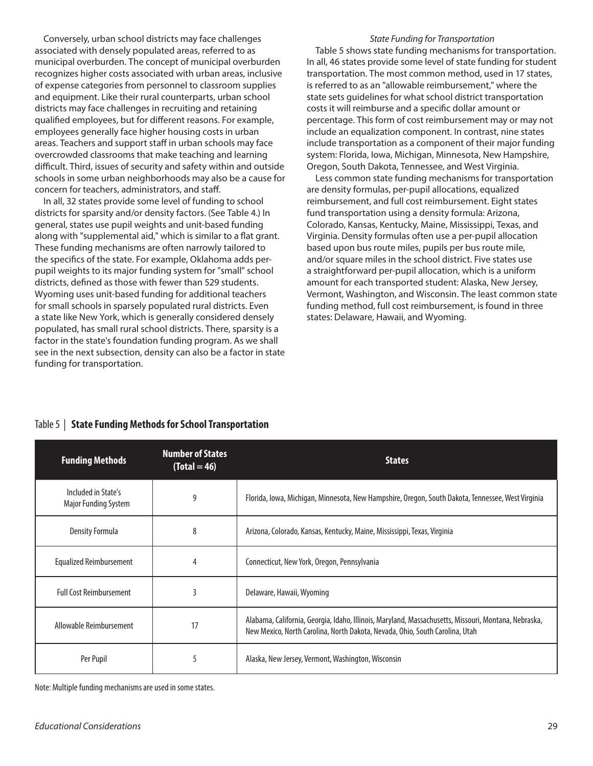Conversely, urban school districts may face challenges associated with densely populated areas, referred to as municipal overburden. The concept of municipal overburden recognizes higher costs associated with urban areas, inclusive of expense categories from personnel to classroom supplies and equipment. Like their rural counterparts, urban school districts may face challenges in recruiting and retaining qualified employees, but for different reasons. For example, employees generally face higher housing costs in urban areas. Teachers and support staff in urban schools may face overcrowded classrooms that make teaching and learning difficult. Third, issues of security and safety within and outside schools in some urban neighborhoods may also be a cause for concern for teachers, administrators, and staff.

In all, 32 states provide some level of funding to school districts for sparsity and/or density factors. (See Table 4.) In general, states use pupil weights and unit-based funding along with "supplemental aid," which is similar to a flat grant. These funding mechanisms are often narrowly tailored to the specifics of the state. For example, Oklahoma adds perpupil weights to its major funding system for "small" school districts, defined as those with fewer than 529 students. Wyoming uses unit-based funding for additional teachers for small schools in sparsely populated rural districts. Even a state like New York, which is generally considered densely populated, has small rural school districts. There, sparsity is a factor in the state's foundation funding program. As we shall see in the next subsection, density can also be a factor in state funding for transportation.

### *State Funding for Transportation*

Table 5 shows state funding mechanisms for transportation. In all, 46 states provide some level of state funding for student transportation. The most common method, used in 17 states, is referred to as an "allowable reimbursement," where the state sets guidelines for what school district transportation costs it will reimburse and a specific dollar amount or percentage. This form of cost reimbursement may or may not include an equalization component. In contrast, nine states include transportation as a component of their major funding system: Florida, Iowa, Michigan, Minnesota, New Hampshire, Oregon, South Dakota, Tennessee, and West Virginia.

Less common state funding mechanisms for transportation are density formulas, per-pupil allocations, equalized reimbursement, and full cost reimbursement. Eight states fund transportation using a density formula: Arizona, Colorado, Kansas, Kentucky, Maine, Mississippi, Texas, and Virginia. Density formulas often use a per-pupil allocation based upon bus route miles, pupils per bus route mile, and/or square miles in the school district. Five states use a straightforward per-pupil allocation, which is a uniform amount for each transported student: Alaska, New Jersey, Vermont, Washington, and Wisconsin. The least common state funding method, full cost reimbursement, is found in three states: Delaware, Hawaii, and Wyoming.

| <b>Funding Methods</b>                      | <b>Number of States</b><br>$(Total = 46)$ | <b>States</b>                                                                                                                                                                        |
|---------------------------------------------|-------------------------------------------|--------------------------------------------------------------------------------------------------------------------------------------------------------------------------------------|
| Included in State's<br>Major Funding System | 9                                         | Florida, Iowa, Michigan, Minnesota, New Hampshire, Oregon, South Dakota, Tennessee, West Virginia                                                                                    |
| Density Formula                             | 8                                         | Arizona, Colorado, Kansas, Kentucky, Maine, Mississippi, Texas, Virginia                                                                                                             |
| Equalized Reimbursement                     | 4                                         | Connecticut, New York, Oregon, Pennsylvania                                                                                                                                          |
| <b>Full Cost Reimbursement</b>              |                                           | Delaware, Hawaii, Wyoming                                                                                                                                                            |
| Allowable Reimbursement                     | 17                                        | Alabama, California, Georgia, Idaho, Illinois, Maryland, Massachusetts, Missouri, Montana, Nebraska,<br>New Mexico, North Carolina, North Dakota, Nevada, Ohio, South Carolina, Utah |
| Per Pupil                                   | 5                                         | Alaska, New Jersey, Vermont, Washington, Wisconsin                                                                                                                                   |

## Table 5 | **State Funding Methods for School Transportation**

Note: Multiple funding mechanisms are used in some states.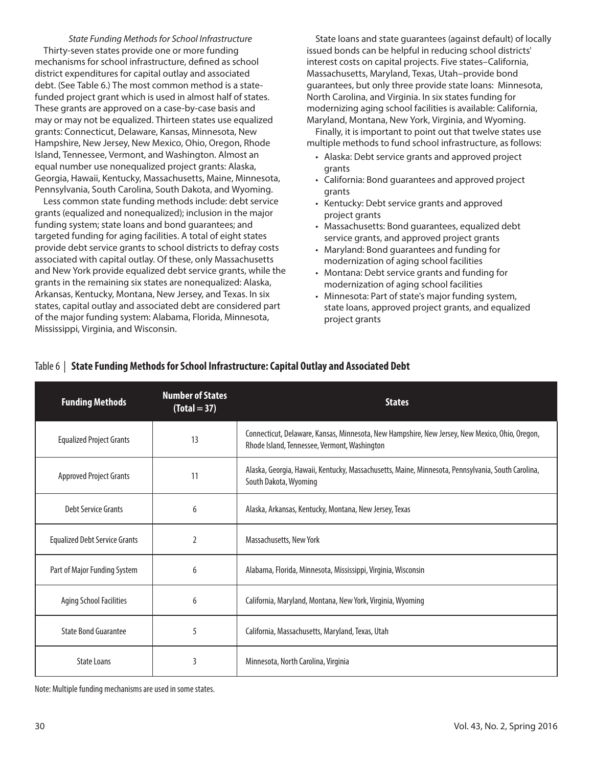*State Funding Methods for School Infrastructure* Thirty-seven states provide one or more funding mechanisms for school infrastructure, defined as school district expenditures for capital outlay and associated debt. (See Table 6.) The most common method is a statefunded project grant which is used in almost half of states. These grants are approved on a case-by-case basis and may or may not be equalized. Thirteen states use equalized grants: Connecticut, Delaware, Kansas, Minnesota, New Hampshire, New Jersey, New Mexico, Ohio, Oregon, Rhode Island, Tennessee, Vermont, and Washington. Almost an equal number use nonequalized project grants: Alaska, Georgia, Hawaii, Kentucky, Massachusetts, Maine, Minnesota, Pennsylvania, South Carolina, South Dakota, and Wyoming.

Less common state funding methods include: debt service grants (equalized and nonequalized); inclusion in the major funding system; state loans and bond guarantees; and targeted funding for aging facilities. A total of eight states provide debt service grants to school districts to defray costs associated with capital outlay. Of these, only Massachusetts and New York provide equalized debt service grants, while the grants in the remaining six states are nonequalized: Alaska, Arkansas, Kentucky, Montana, New Jersey, and Texas. In six states, capital outlay and associated debt are considered part of the major funding system: Alabama, Florida, Minnesota, Mississippi, Virginia, and Wisconsin.

State loans and state guarantees (against default) of locally issued bonds can be helpful in reducing school districts' interest costs on capital projects. Five states–California, Massachusetts, Maryland, Texas, Utah–provide bond guarantees, but only three provide state loans: Minnesota, North Carolina, and Virginia. In six states funding for modernizing aging school facilities is available: California, Maryland, Montana, New York, Virginia, and Wyoming.

Finally, it is important to point out that twelve states use multiple methods to fund school infrastructure, as follows:

- Alaska: Debt service grants and approved project grants
- California: Bond guarantees and approved project grants
- Kentucky: Debt service grants and approved project grants
- Massachusetts: Bond guarantees, equalized debt service grants, and approved project grants
- Maryland: Bond guarantees and funding for modernization of aging school facilities
- Montana: Debt service grants and funding for modernization of aging school facilities
- Minnesota: Part of state's major funding system, state loans, approved project grants, and equalized project grants

| <b>Funding Methods</b>               | <b>Number of States</b><br>$(Total = 37)$ | <b>States</b>                                                                                                                                  |
|--------------------------------------|-------------------------------------------|------------------------------------------------------------------------------------------------------------------------------------------------|
| <b>Equalized Project Grants</b>      | 13                                        | Connecticut, Delaware, Kansas, Minnesota, New Hampshire, New Jersey, New Mexico, Ohio, Oregon,<br>Rhode Island, Tennessee, Vermont, Washington |
| <b>Approved Project Grants</b>       | 11                                        | Alaska, Georgia, Hawaii, Kentucky, Massachusetts, Maine, Minnesota, Pennsylvania, South Carolina,<br>South Dakota, Wyoming                     |
| Debt Service Grants                  | 6                                         | Alaska, Arkansas, Kentucky, Montana, New Jersey, Texas                                                                                         |
| <b>Equalized Debt Service Grants</b> | 2                                         | Massachusetts, New York                                                                                                                        |
| Part of Major Funding System         | 6                                         | Alabama, Florida, Minnesota, Mississippi, Virginia, Wisconsin                                                                                  |
| Aging School Facilities              | 6                                         | California, Maryland, Montana, New York, Virginia, Wyoming                                                                                     |
| <b>State Bond Guarantee</b>          | 5                                         | California, Massachusetts, Maryland, Texas, Utah                                                                                               |
| <b>State Loans</b>                   | 3                                         | Minnesota, North Carolina, Virginia                                                                                                            |

## Table 6 | **State Funding Methods for School Infrastructure: Capital Outlay and Associated Debt**

Note: Multiple funding mechanisms are used in some states.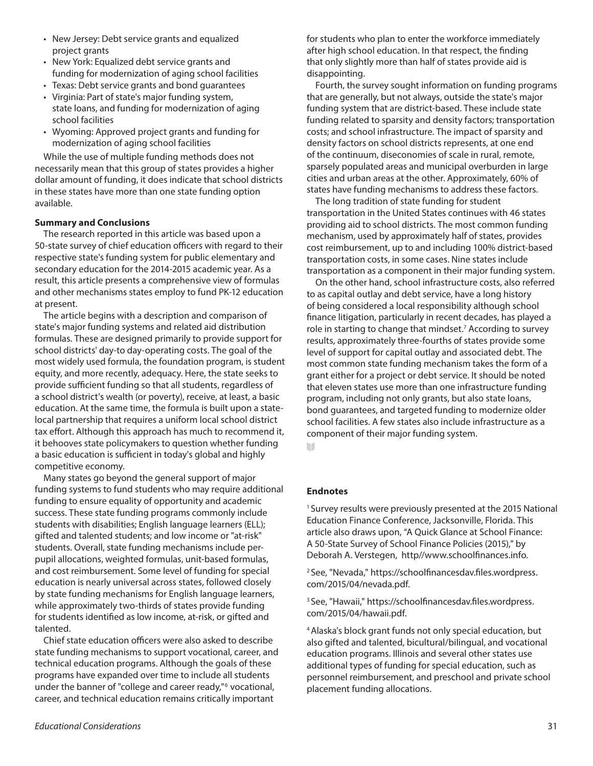- New Jersey: Debt service grants and equalized project grants
- New York: Equalized debt service grants and funding for modernization of aging school facilities
- Texas: Debt service grants and bond guarantees
- Virginia: Part of state's major funding system, state loans, and funding for modernization of aging school facilities
- Wyoming: Approved project grants and funding for modernization of aging school facilities

While the use of multiple funding methods does not necessarily mean that this group of states provides a higher dollar amount of funding, it does indicate that school districts in these states have more than one state funding option available.

## **Summary and Conclusions**

The research reported in this article was based upon a 50-state survey of chief education officers with regard to their respective state's funding system for public elementary and secondary education for the 2014-2015 academic year. As a result, this article presents a comprehensive view of formulas and other mechanisms states employ to fund PK-12 education at present.

The article begins with a description and comparison of state's major funding systems and related aid distribution formulas. These are designed primarily to provide support for school districts' day-to day-operating costs. The goal of the most widely used formula, the foundation program, is student equity, and more recently, adequacy. Here, the state seeks to provide sufficient funding so that all students, regardless of a school district's wealth (or poverty), receive, at least, a basic education. At the same time, the formula is built upon a statelocal partnership that requires a uniform local school district tax effort. Although this approach has much to recommend it, it behooves state policymakers to question whether funding a basic education is sufficient in today's global and highly competitive economy.

Many states go beyond the general support of major funding systems to fund students who may require additional funding to ensure equality of opportunity and academic success. These state funding programs commonly include students with disabilities; English language learners (ELL); gifted and talented students; and low income or "at-risk" students. Overall, state funding mechanisms include perpupil allocations, weighted formulas, unit-based formulas, and cost reimbursement. Some level of funding for special education is nearly universal across states, followed closely by state funding mechanisms for English language learners, while approximately two-thirds of states provide funding for students identified as low income, at-risk, or gifted and talented.

Chief state education officers were also asked to describe state funding mechanisms to support vocational, career, and technical education programs. Although the goals of these programs have expanded over time to include all students under the banner of "college and career ready,"6 vocational, career, and technical education remains critically important

for students who plan to enter the workforce immediately after high school education. In that respect, the finding that only slightly more than half of states provide aid is disappointing.

Fourth, the survey sought information on funding programs that are generally, but not always, outside the state's major funding system that are district-based. These include state funding related to sparsity and density factors; transportation costs; and school infrastructure. The impact of sparsity and density factors on school districts represents, at one end of the continuum, diseconomies of scale in rural, remote, sparsely populated areas and municipal overburden in large cities and urban areas at the other. Approximately, 60% of states have funding mechanisms to address these factors.

The long tradition of state funding for student transportation in the United States continues with 46 states providing aid to school districts. The most common funding mechanism, used by approximately half of states, provides cost reimbursement, up to and including 100% district-based transportation costs, in some cases. Nine states include transportation as a component in their major funding system.

On the other hand, school infrastructure costs, also referred to as capital outlay and debt service, have a long history of being considered a local responsibility although school finance litigation, particularly in recent decades, has played a role in starting to change that mindset.<sup>7</sup> According to survey results, approximately three-fourths of states provide some level of support for capital outlay and associated debt. The most common state funding mechanism takes the form of a grant either for a project or debt service. It should be noted that eleven states use more than one infrastructure funding program, including not only grants, but also state loans, bond guarantees, and targeted funding to modernize older school facilities. A few states also include infrastructure as a component of their major funding system.

m

# **Endnotes**

<sup>1</sup> Survey results were previously presented at the 2015 National Education Finance Conference, Jacksonville, Florida. This article also draws upon, "A Quick Glance at School Finance: A 50-State Survey of School Finance Policies (2015)," by Deborah A. Verstegen, http//www.schoolfinances.info.

2 See, "Nevada," https://schoolfinancesdav.files.wordpress. com/2015/04/nevada.pdf.

3 See, "Hawaii," https://schoolfinancesdav.files.wordpress. com/2015/04/hawaii.pdf.

4 Alaska's block grant funds not only special education, but also gifted and talented, bicultural/bilingual, and vocational education programs. Illinois and several other states use additional types of funding for special education, such as personnel reimbursement, and preschool and private school placement funding allocations.